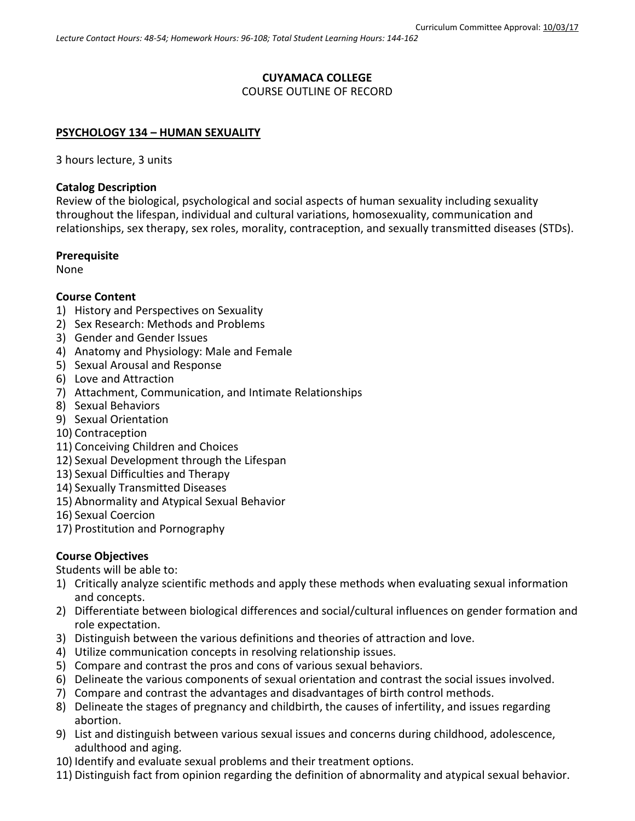# **CUYAMACA COLLEGE**

### COURSE OUTLINE OF RECORD

### **PSYCHOLOGY 134 – HUMAN SEXUALITY**

3 hours lecture, 3 units

#### **Catalog Description**

Review of the biological, psychological and social aspects of human sexuality including sexuality throughout the lifespan, individual and cultural variations, homosexuality, communication and relationships, sex therapy, sex roles, morality, contraception, and sexually transmitted diseases (STDs).

#### **Prerequisite**

None

### **Course Content**

- 1) History and Perspectives on Sexuality
- 2) Sex Research: Methods and Problems
- 3) Gender and Gender Issues
- 4) Anatomy and Physiology: Male and Female
- 5) Sexual Arousal and Response
- 6) Love and Attraction
- 7) Attachment, Communication, and Intimate Relationships
- 8) Sexual Behaviors
- 9) Sexual Orientation
- 10) Contraception
- 11) Conceiving Children and Choices
- 12) Sexual Development through the Lifespan
- 13) Sexual Difficulties and Therapy
- 14) Sexually Transmitted Diseases
- 15) Abnormality and Atypical Sexual Behavior
- 16) Sexual Coercion
- 17) Prostitution and Pornography

### **Course Objectives**

Students will be able to:

- 1) Critically analyze scientific methods and apply these methods when evaluating sexual information and concepts.
- 2) Differentiate between biological differences and social/cultural influences on gender formation and role expectation.
- 3) Distinguish between the various definitions and theories of attraction and love.
- 4) Utilize communication concepts in resolving relationship issues.
- 5) Compare and contrast the pros and cons of various sexual behaviors.
- 6) Delineate the various components of sexual orientation and contrast the social issues involved.
- 7) Compare and contrast the advantages and disadvantages of birth control methods.
- 8) Delineate the stages of pregnancy and childbirth, the causes of infertility, and issues regarding abortion.
- 9) List and distinguish between various sexual issues and concerns during childhood, adolescence, adulthood and aging.
- 10) Identify and evaluate sexual problems and their treatment options.
- 11) Distinguish fact from opinion regarding the definition of abnormality and atypical sexual behavior.